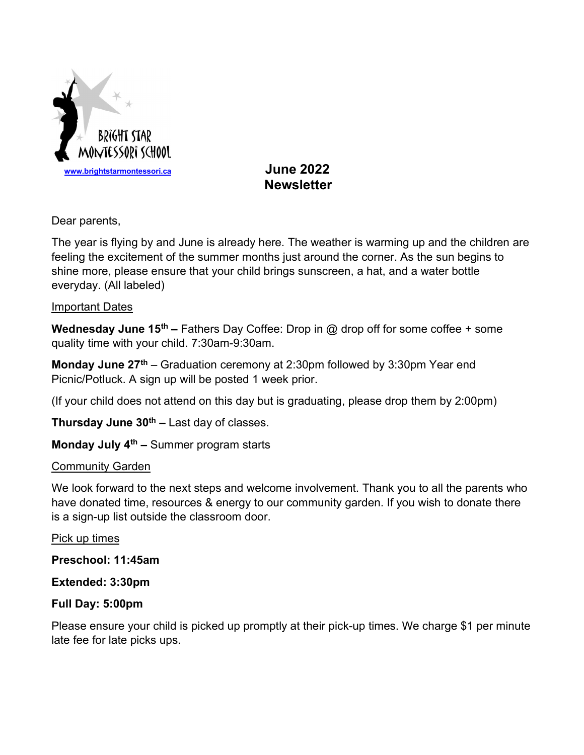

# **Newsletter**

Dear parents,

The year is flying by and June is already here. The weather is warming up and the children are feeling the excitement of the summer months just around the corner. As the sun begins to shine more, please ensure that your child brings sunscreen, a hat, and a water bottle everyday. (All labeled)

## Important Dates

Wednesday June 15<sup>th</sup> – Fathers Day Coffee: Drop in @ drop off for some coffee + some quality time with your child. 7:30am-9:30am.

**Monday June 27<sup>th</sup>** – Graduation ceremony at 2:30pm followed by 3:30pm Year end Picnic/Potluck. A sign up will be posted 1 week prior.

(If your child does not attend on this day but is graduating, please drop them by 2:00pm)

**Thursday June 30<sup>th</sup> –** Last day of classes.

Monday July 4<sup>th</sup> – Summer program starts

# **Community Garden**

We look forward to the next steps and welcome involvement. Thank you to all the parents who have donated time, resources & energy to our community garden. If you wish to donate there is a sign-up list outside the classroom door.

Pick up times

Preschool: 11:45am

# Extended: 3:30pm

# Full Day: 5:00pm

Please ensure your child is picked up promptly at their pick-up times. We charge \$1 per minute late fee for late picks ups.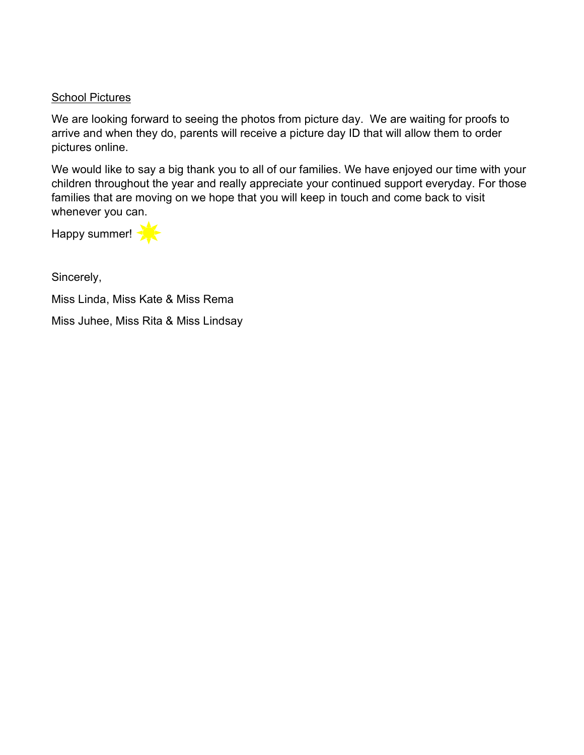#### **School Pictures**

We are looking forward to seeing the photos from picture day. We are waiting for proofs to arrive and when they do, parents will receive a picture day ID that will allow them to order pictures online.

We would like to say a big thank you to all of our families. We have enjoyed our time with your children throughout the year and really appreciate your continued support everyday. For those families that are moving on we hope that you will keep in touch and come back to visit whenever you can.

Happy summer!

Sincerely,

Miss Linda, Miss Kate & Miss Rema

Miss Juhee, Miss Rita & Miss Lindsay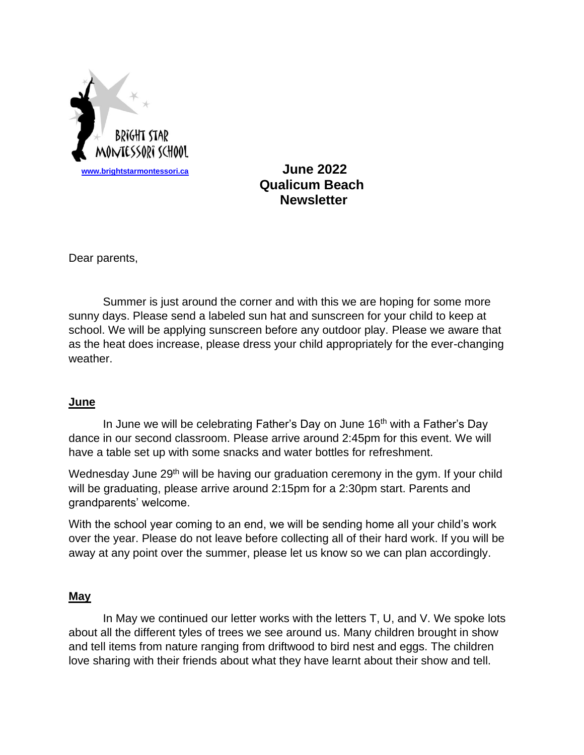

 **Qualicum Beach Newsletter**

Dear parents,

Summer is just around the corner and with this we are hoping for some more sunny days. Please send a labeled sun hat and sunscreen for your child to keep at school. We will be applying sunscreen before any outdoor play. Please we aware that as the heat does increase, please dress your child appropriately for the ever-changing weather.

#### **June**

In June we will be celebrating Father's Day on June 16<sup>th</sup> with a Father's Day dance in our second classroom. Please arrive around 2:45pm for this event. We will have a table set up with some snacks and water bottles for refreshment.

Wednesday June 29<sup>th</sup> will be having our graduation ceremony in the gym. If your child will be graduating, please arrive around 2:15pm for a 2:30pm start. Parents and grandparents' welcome.

With the school year coming to an end, we will be sending home all your child's work over the year. Please do not leave before collecting all of their hard work. If you will be away at any point over the summer, please let us know so we can plan accordingly.

#### **May**

In May we continued our letter works with the letters T, U, and V. We spoke lots about all the different tyles of trees we see around us. Many children brought in show and tell items from nature ranging from driftwood to bird nest and eggs. The children love sharing with their friends about what they have learnt about their show and tell.